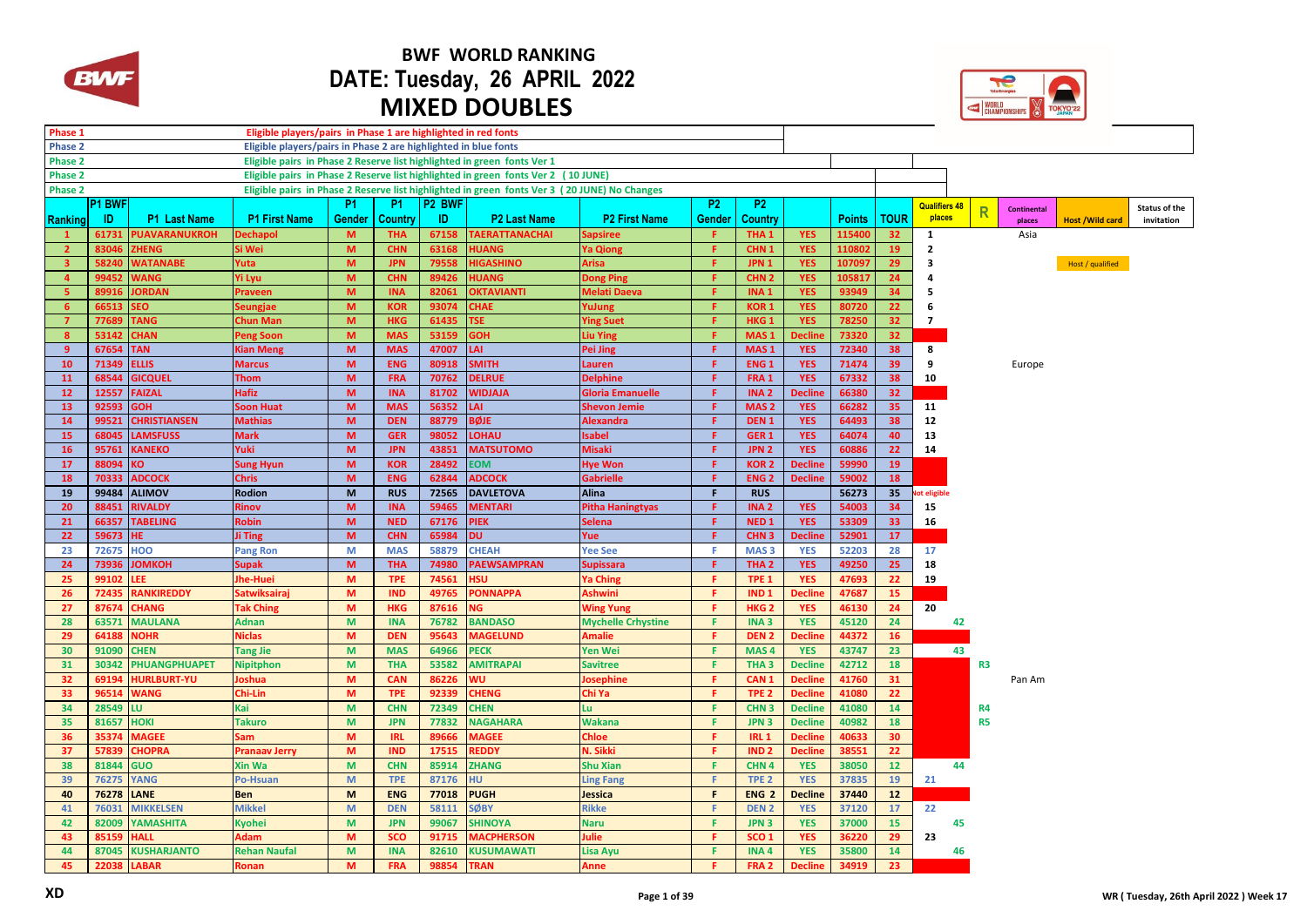

## **BWF WORLD RANKING DATE: Tuesday, 26 APRIL 2022 MIXED DOUBLES**



| Phase 1<br>Eligible players/pairs in Phase 1 are highlighted in red fonts                                            |                |                                            |                      |                                                                                                              |                          |                    |                               |                           |                |                                      |                |                |                       |                      |                         |                    |                        |                      |
|----------------------------------------------------------------------------------------------------------------------|----------------|--------------------------------------------|----------------------|--------------------------------------------------------------------------------------------------------------|--------------------------|--------------------|-------------------------------|---------------------------|----------------|--------------------------------------|----------------|----------------|-----------------------|----------------------|-------------------------|--------------------|------------------------|----------------------|
| Eligible players/pairs in Phase 2 are highlighted in blue fonts<br>Phase 2                                           |                |                                            |                      |                                                                                                              |                          |                    |                               |                           |                |                                      |                |                |                       |                      |                         |                    |                        |                      |
| Eligible pairs in Phase 2 Reserve list highlighted in green fonts Ver 1<br>Phase 2                                   |                |                                            |                      |                                                                                                              |                          |                    |                               |                           |                |                                      |                |                |                       |                      |                         |                    |                        |                      |
| Phase 2<br>Eligible pairs in Phase 2 Reserve list highlighted in green fonts Ver 2 (10 JUNE)                         |                |                                            |                      |                                                                                                              |                          |                    |                               |                           |                |                                      |                |                |                       |                      |                         |                    |                        |                      |
| Phase 2<br>Eligible pairs in Phase 2 Reserve list highlighted in green fonts Ver 3 (20 JUNE) No Changes<br><b>P2</b> |                |                                            |                      |                                                                                                              |                          |                    |                               |                           |                |                                      |                |                |                       |                      |                         |                    |                        |                      |
|                                                                                                                      | P1 BWF         |                                            |                      | <b>P1</b>                                                                                                    | P <sub>1</sub>           | P <sub>2</sub> BWF |                               |                           | P <sub>2</sub> |                                      |                |                |                       | <b>Qualifiers 48</b> | $\overline{\mathsf{R}}$ | <b>Continental</b> |                        | <b>Status of the</b> |
| <u>I Ranking</u>                                                                                                     | -ID            | P1 Last Name                               | <b>P1 First Name</b> | <b>Gender</b>                                                                                                | Country                  | ID.                | <b>P2 Last Name</b>           | <b>P2 First Name</b>      | Gender         | Country                              |                | <b>Points</b>  | <b>TOUR</b>           | places               |                         | places             | <b>Host /Wild card</b> | invitation           |
|                                                                                                                      | 61731          | <b>PUAVARANUKROH</b>                       | <b>Dechapol</b>      | M                                                                                                            | <b>THA</b>               | 67158              | <b>TAERATTANACHAI</b>         | Sapsiree                  |                | THA <sub>1</sub>                     | <b>YES</b>     | 115400         | 32 <sub>2</sub>       | 1                    |                         | Asia               |                        |                      |
| $\overline{2}$                                                                                                       | 83046          | <b>ZHENG</b>                               | Si Wei               | M                                                                                                            | <b>CHN</b>               | 63168              | <b>HUANG</b>                  | <b>Ya Qiong</b>           | F.             | CHN <sub>1</sub>                     | <b>YES</b>     | 110802         | 19                    | $\overline{2}$       |                         |                    |                        |                      |
| $\overline{\mathbf{3}}$                                                                                              | 58240          | <b>WATANABE</b>                            | Yuta                 | M                                                                                                            | <b>JPN</b>               | 79558              | <b>HIGASHINO</b>              | Arisa                     | F.             | JPN <sub>1</sub>                     | <b>YES</b>     | 107097         | 29                    | 3                    |                         |                    | Host / qualified       |                      |
| $\overline{4}$                                                                                                       | 99452          | <b>WANG</b>                                | <b>Yi Lyu</b>        | M                                                                                                            | <b>CHN</b>               | 89426              | <b>HUANG</b>                  | <b>Dong Ping</b>          | F.             | CHN <sub>2</sub>                     | <b>YES</b>     | 105817         | 24                    | $\overline{a}$       |                         |                    |                        |                      |
| 5                                                                                                                    | 89916          | <b>IORDAN</b>                              | <b>Praveen</b>       | M                                                                                                            | <b>INA</b>               | 82061              | <b>OKTAVIANTI</b>             | Melati Daeva              | F              | INA <sub>1</sub>                     | <b>YES</b>     | 93949          | 34                    | 5                    |                         |                    |                        |                      |
| 6                                                                                                                    | 66513          | EO.                                        | <b>Seungjae</b>      | M                                                                                                            | <b>KOR</b>               | 93074              | <b>CHAE</b>                   | YuJung                    | F.             | <b>KOR1</b>                          | <b>YES</b>     | 80720          | 22                    | -6                   |                         |                    |                        |                      |
|                                                                                                                      | 77689          | <b>TANG</b>                                | <b>Chun Man</b>      | M                                                                                                            | <b>HKG</b>               | 61435              | <b>TSE</b>                    | <b>Ying Suet</b>          | F.             | HKG <sub>1</sub>                     | <b>YES</b>     | 78250          | 32 <sub>2</sub>       | $\overline{7}$       |                         |                    |                        |                      |
| 8                                                                                                                    | 53142          | <b>CHAN</b>                                | <b>Peng Soon</b>     | M                                                                                                            | <b>MAS</b>               | 53159              | <b>GOH</b>                    | <b>Liu Ying</b>           | F              | MAS <sub>1</sub>                     | <b>Decline</b> | 73320          | 32                    |                      |                         |                    |                        |                      |
| 9                                                                                                                    | 67654          | <b>TAN</b>                                 | <b>Kian Meng</b>     | M                                                                                                            | <b>MAS</b>               | 47007              | LAI                           | <b>Pei Jing</b>           | F.             | MAS <sub>1</sub>                     | <b>YES</b>     | 72340          | 38                    | 8                    |                         |                    |                        |                      |
| 10                                                                                                                   | 71349          | <b>ELLIS</b>                               | <b>Marcus</b>        | M                                                                                                            | <b>ENG</b>               | 80918              | <b>SMITH</b>                  | Lauren                    | Æ              | <b>ENG1</b>                          | <b>YES</b>     | 71474          | 39                    | 9                    |                         | Europe             |                        |                      |
| <b>11</b>                                                                                                            | 68544          | <b>GICQUEL</b>                             | Thom                 | M                                                                                                            | <b>FRA</b>               | 70762              | <b>DELRUE</b>                 | <b>Delphine</b>           | Æ.             | FRA 1                                | <b>YES</b>     | 67332          | 38                    | 10                   |                         |                    |                        |                      |
| 12                                                                                                                   | 12557          | <b>FAIZAL</b>                              | <b>Hafiz</b>         | M                                                                                                            | <b>INA</b>               | 81702              | <b>WIDJAJA</b>                | <b>Gloria Emanuelle</b>   | F              | INA <sub>2</sub>                     | <b>Decline</b> | 66380          | 32                    |                      |                         |                    |                        |                      |
| 13                                                                                                                   | 92593          | <b>GOH</b>                                 | <b>Soon Huat</b>     | M                                                                                                            | <b>MAS</b>               | 56352              | LAI                           | <b>Shevon Jemie</b>       | F.             | MAS <sub>2</sub>                     | <b>YES</b>     | 66282          | 35                    | 11                   |                         |                    |                        |                      |
| 14                                                                                                                   | 99521          | <b>CHRISTIANSEN</b>                        | <b>Mathias</b>       | M                                                                                                            | <b>DEN</b>               | 88779              | <b>BØJE</b>                   | <b>Alexandra</b>          | F              | DEN <sub>1</sub>                     | <b>YES</b>     | 64493          | 38                    | 12                   |                         |                    |                        |                      |
| 15                                                                                                                   | 68045          | LAMSFUSS                                   | <b>Mark</b>          | M                                                                                                            | <b>GER</b>               | 98052              | <b>LOHAU</b>                  | sabel                     | F              | GER <sub>1</sub>                     | <b>YES</b>     | 64074          | 40                    | 13                   |                         |                    |                        |                      |
| 16                                                                                                                   | 95761          | <b>KANEKO</b>                              | <b>Yuki</b>          | M                                                                                                            | <b>JPN</b>               | 43851              | <b>MATSUTOMO</b>              | <b>Misaki</b>             | F.             | JPN <sub>2</sub>                     | <b>YES</b>     | 60886          | 22                    | 14                   |                         |                    |                        |                      |
| 17                                                                                                                   | 88094          | ΚO                                         | <b>Sung Hyun</b>     | M                                                                                                            | <b>KOR</b>               | 28492              | <b>EOM</b>                    | <b>Hye Won</b>            | F.             | <b>KOR2</b>                          | <b>Decline</b> | 59990          | 19                    |                      |                         |                    |                        |                      |
| 18                                                                                                                   | 70333          | <b>ADCOCK</b>                              | <b>Chris</b>         | M                                                                                                            | <b>ENG</b>               | 62844              | <b>ADCOCK</b>                 | <b>Gabrielle</b>          | Æ              | <b>ENG<sub>2</sub></b>               | <b>Decline</b> | 59002          | 18                    |                      |                         |                    |                        |                      |
| 19                                                                                                                   | 99484          | ALIMOV                                     | <b>Rodion</b>        | $\mathsf{M}% _{T}=\mathsf{M}_{T}\!\left( a,b\right) ,\ \mathsf{M}_{T}=\mathsf{M}_{T}\!\left( a,b\right) ,$   | <b>RUS</b>               | 72565              | <b>DAVLETOVA</b>              | <b>Alina</b>              | F.             | <b>RUS</b>                           |                | 56273          | 35                    | lot eligible         |                         |                    |                        |                      |
| 20                                                                                                                   | 88451          | <b>RIVALDY</b>                             | Rinov                | M                                                                                                            | <b>INA</b>               | 59465              | <b>MENTARI</b>                | <b>Pitha Haningtyas</b>   | F.             | INA <sub>2</sub>                     | <b>YES</b>     | 54003          | 34                    | 15                   |                         |                    |                        |                      |
| 21                                                                                                                   | 66357          | <b>TABELING</b>                            | Robin                | M                                                                                                            | <b>NED</b>               | 67176              | <b>PIEK</b>                   | <b>Selena</b>             | F              | NED <sub>1</sub>                     | <b>YES</b>     | 53309          | 33                    | 16                   |                         |                    |                        |                      |
| 22                                                                                                                   | 59673          | HE.                                        | Ji Ting              | $\mathbf{M}$                                                                                                 | <b>CHN</b>               | 65984              | <b>DU</b>                     | Yue                       | F.             | CHN <sub>3</sub>                     | <b>Decline</b> | 52901          | 17                    |                      |                         |                    |                        |                      |
| 23                                                                                                                   | 72675          | <b>HOO</b>                                 | <b>Pang Ron</b>      | M                                                                                                            | <b>MAS</b>               | 58879              | <b>CHEAH</b>                  | <b>Yee See</b>            | F              | MAS <sub>3</sub>                     | <b>YES</b>     | 52203          | 28                    | 17                   |                         |                    |                        |                      |
| 24                                                                                                                   | 73936          | <b>ЈОМКОН</b>                              | <b>Supak</b>         | M                                                                                                            | <b>THA</b>               | 74980              | <b>PAEWSAMPRAN</b>            | <b>Supissara</b>          | F.             | THA <sub>2</sub>                     | <b>YES</b>     | 49250          | 25                    | 18                   |                         |                    |                        |                      |
| 25                                                                                                                   | 99102          | EE.                                        | Jhe-Huei             | M                                                                                                            | <b>TPE</b>               | 74561              | <b>HSU</b>                    | <b>Ya Ching</b>           | F.             | TPE <sub>1</sub>                     | <b>YES</b>     | 47693          | 22                    | 19                   |                         |                    |                        |                      |
| 26                                                                                                                   | 72435          | <b>RANKIREDDY</b>                          | <b>Satwiksaira</b>   | M                                                                                                            | <b>IND</b>               | 49765              | <b>PONNAPPA</b>               | Ashwini                   | F              | IND <sub>1</sub>                     | <b>Decline</b> | 47687          | 15                    |                      |                         |                    |                        |                      |
| 27                                                                                                                   | 87674          | CHANG                                      | <b>Tak Ching</b>     | $\mathsf{M}\xspace$                                                                                          | <b>HKG</b>               | 87616              | NG.                           | <b>Wing Yung</b>          | F.             | HKG <sub>2</sub>                     | <b>YES</b>     | 46130          | 24                    | 20                   |                         |                    |                        |                      |
| 28                                                                                                                   | 63571          | <b>MAULANA</b>                             | <b>Adnan</b>         | M                                                                                                            | <b>INA</b>               | 76782              | <b>BANDASO</b>                | <b>Mychelle Crhystine</b> | F.             | INA <sub>3</sub>                     | <b>YES</b>     | 45120          | 24                    | 42                   |                         |                    |                        |                      |
| 29                                                                                                                   | 6418           | <b>NOHR</b>                                | <b>Niclas</b>        | M                                                                                                            | <b>DEN</b>               | 95643              | <b>MAGELUND</b>               | <b>Amalie</b>             | F              | DEN <sub>2</sub>                     | <b>Decline</b> | 44372          | 16                    |                      |                         |                    |                        |                      |
| 30                                                                                                                   | 91090          | <b>CHEN</b>                                | <b>Tang Jie</b>      | M                                                                                                            | <b>MAS</b>               | 64966              | <b>PECK</b>                   | <b>Yen Wei</b>            | F.             | MAS <sub>4</sub>                     | <b>YES</b>     | 43747          | 23                    | 43                   |                         |                    |                        |                      |
|                                                                                                                      |                |                                            |                      |                                                                                                              |                          |                    |                               |                           | F.             |                                      |                |                |                       |                      |                         |                    |                        |                      |
| 31<br>32                                                                                                             | 30342<br>69194 | <b>PHUANGPHUAPET</b><br><b>HURLBURT-YU</b> | <b>Nipitphon</b>     | $\mathsf{M}\xspace$<br>$\mathsf{M}% _{T}=\mathsf{M}_{T}\!\left( a,b\right) ,\ \mathsf{M}_{T}=\mathsf{M}_{T}$ | <b>THA</b><br><b>CAN</b> | 53582<br>86226     | <b>AMITRAPAI</b><br><b>WU</b> | <b>Savitree</b>           | Æ.             | THA <sub>3</sub><br>CAN <sub>1</sub> | <b>Decline</b> | 42712<br>41760 | 18                    |                      | R3                      |                    |                        |                      |
| 33                                                                                                                   |                | <b>WANG</b>                                | Joshua<br>Chi-Lin    |                                                                                                              | <b>TPE</b>               |                    |                               | Josephine                 | F              |                                      | <b>Decline</b> |                | 31<br>22 <sub>2</sub> |                      |                         | Pan Am             |                        |                      |
| 34                                                                                                                   | 96514          | LU.                                        |                      | M                                                                                                            |                          | 92339              | <b>CHENG</b>                  | Chi Ya                    | F.             | TPE <sub>2</sub>                     | <b>Decline</b> | 41080          |                       |                      |                         |                    |                        |                      |
|                                                                                                                      | 28549          |                                            | Kai                  | M                                                                                                            | <b>CHN</b>               | 72349              | <b>CHEN</b>                   | Lu.                       | F              | CHN <sub>3</sub>                     | <b>Decline</b> | 41080          | 14                    |                      | <b>R4</b>               |                    |                        |                      |
| 35                                                                                                                   | 81657          | <b>HOKI</b>                                | <b>Takuro</b>        | M                                                                                                            | <b>JPN</b>               | 77832              | <b>NAGAHARA</b>               | <b>Wakana</b>             |                | JPN <sub>3</sub>                     | <b>Decline</b> | 40982          | 18                    |                      | R <sub>5</sub>          |                    |                        |                      |
| 36                                                                                                                   | 35374          | <b>MAGEE</b>                               | Sam                  | M                                                                                                            | <b>IRL</b>               | 89666              | <b>MAGEE</b>                  | Chloe                     | F              | <b>IRL1</b>                          | <b>Decline</b> | 40633          | 30                    |                      |                         |                    |                        |                      |
| 37                                                                                                                   | 57839          | <b>CHOPRA</b>                              | <b>Pranaav Jerry</b> | M                                                                                                            | <b>IND</b>               | 17515              | <b>REDDY</b>                  | N. Sikki                  | F.             | IND <sub>2</sub>                     | <b>Decline</b> | 38551          | 22                    |                      |                         |                    |                        |                      |
| 38                                                                                                                   | 81844          | <b>GUO</b>                                 | <b>Xin Wa</b>        | $\mathsf{M}\xspace$                                                                                          | <b>CHN</b>               | 85914              | <b>ZHANG</b>                  | <b>Shu Xian</b>           | F.             | CHN <sub>4</sub>                     | <b>YES</b>     | 38050          | 12                    | 44                   |                         |                    |                        |                      |
| 39                                                                                                                   | 76275          | <b>YANG</b>                                | <b>Po-Hsuan</b>      | M                                                                                                            | <b>TPE</b>               | 87176              | <b>HU</b>                     | <b>Ling Fang</b>          | F.             | TPE <sub>2</sub>                     | <b>YES</b>     | 37835          | 19                    | 21                   |                         |                    |                        |                      |
| 40                                                                                                                   | 76278          | <b>LANE</b>                                | <b>Ben</b>           | M                                                                                                            | <b>ENG</b>               | 77018              | <b>PUGH</b>                   | Jessica                   | F              | ENG <sub>2</sub>                     | <b>Decline</b> | 37440          | 12                    |                      |                         |                    |                        |                      |
| 41                                                                                                                   | 76031          | <b>MIKKELSEN</b>                           | <b>Mikkel</b>        | M                                                                                                            | <b>DEN</b>               | 58111              | <b>SØBY</b>                   | <b>Rikke</b>              | Е              | <b>DEN 2</b>                         | <b>YES</b>     | 37120          | 17                    | 22                   |                         |                    |                        |                      |
| 42                                                                                                                   | 82009          | <b>YAMASHITA</b>                           | <b>Kyohei</b>        | M                                                                                                            | <b>JPN</b>               | 99067              | <b>SHINOYA</b>                | <b>Naru</b>               | F              | JPN <sub>3</sub>                     | <b>YES</b>     | 37000          | 15 <sub>1</sub>       | 45                   |                         |                    |                        |                      |
| 43                                                                                                                   | 8515           | <b>HALL</b>                                | <b>Adam</b>          | M                                                                                                            | <b>SCO</b>               | 91715              | <b>MACPHERSON</b>             | lulie                     | F              | SCO <sub>1</sub>                     | <b>YES</b>     | 36220          | 29                    | 23                   |                         |                    |                        |                      |
| 44                                                                                                                   | 87045          | <b>KUSHARJANTO</b>                         | <b>Rehan Naufal</b>  | M                                                                                                            | <b>INA</b>               | 82610              | <b>KUSUMAWATI</b>             | Lisa Ayu                  | F.             | INA4                                 | <b>YES</b>     | 35800          | 14                    | 46                   |                         |                    |                        |                      |
| 45                                                                                                                   | 22038          | <b>LABAR</b>                               | <b>Ronan</b>         | M                                                                                                            | <b>FRA</b>               | 98854              | <b>TRAN</b>                   | <b>Anne</b>               | F.             | FRA 2                                | <b>Decline</b> | 34919          | 23                    |                      |                         |                    |                        |                      |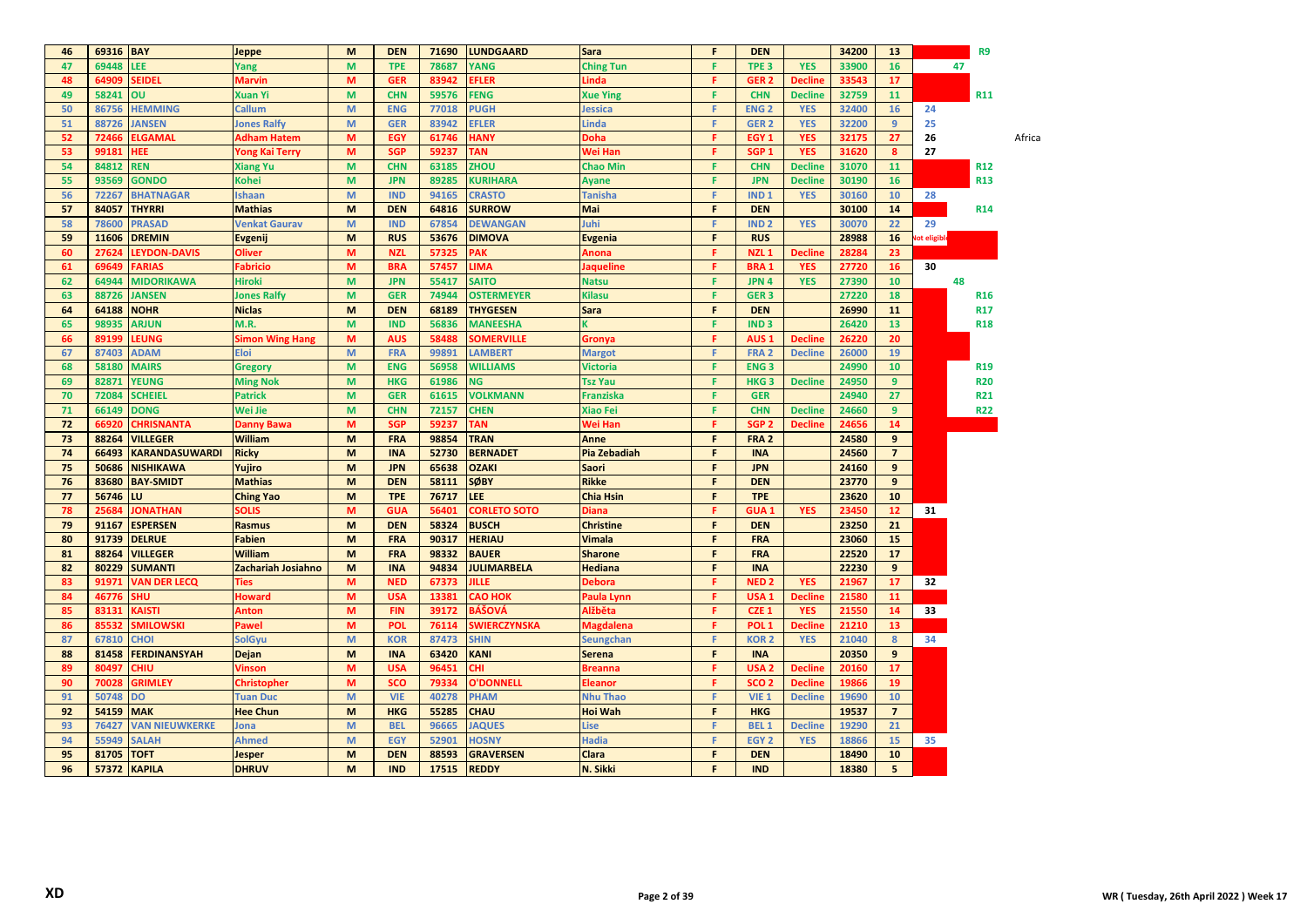| 46       |           |                       |                        | M                                                                                                          | <b>DEN</b> | 71690 | <b>LUNDGAARD</b>          |                  | F  | <b>DEN</b>             |                | 34200 | 13             |             |            |        |
|----------|-----------|-----------------------|------------------------|------------------------------------------------------------------------------------------------------------|------------|-------|---------------------------|------------------|----|------------------------|----------------|-------|----------------|-------------|------------|--------|
|          | 69316 BAY |                       | <b>Jeppe</b>           |                                                                                                            |            |       |                           | <b>Sara</b>      |    |                        |                |       |                |             | R9         |        |
| 47       | 69448     | LEE                   | Yang                   | M                                                                                                          | <b>TPE</b> | 78687 | <b>YANG</b>               | <b>Ching Tun</b> | F  | TPE <sub>3</sub>       | <b>YES</b>     | 33900 | 16             |             | 47         |        |
| 48       | 64909     | <b>SEIDEL</b>         | <b>Marvin</b>          | M                                                                                                          | <b>GER</b> | 83942 | FLER                      | Linda            | F  | GER <sub>2</sub>       | <b>Decline</b> | 33543 | 17             |             |            |        |
| 49       | 58241     | OU                    | <b>Xuan Yi</b>         | M                                                                                                          | <b>CHN</b> | 59576 | <b>FENG</b>               | <b>Xue Ying</b>  | F  | <b>CHN</b>             | <b>Decline</b> | 32759 | 11             |             | <b>R11</b> |        |
| 50       | 86756     | <b>HEMMING</b>        | <b>Callum</b>          | M                                                                                                          | <b>ENG</b> | 77018 | <b>PUGH</b>               | <b>Jessica</b>   | F  | <b>ENG<sub>2</sub></b> | <b>YES</b>     | 32400 | 16             | 24          |            |        |
| 51       | 88726     | <b>JANSEN</b>         | Jones Ralfy            | M                                                                                                          | <b>GER</b> | 83942 | <b>EFLER</b>              | <b>Linda</b>     | F  | GER <sub>2</sub>       | <b>YES</b>     | 32200 | $\overline{9}$ | 25          |            |        |
| 52       | 72466     | <b>ELGAMAL</b>        | <b>Adham Hatem</b>     | M                                                                                                          | EGY        | 61746 | <b>HANY</b>               | <b>Doha</b>      | F. | EGY <sub>1</sub>       | <b>YES</b>     | 32175 | 27             | 26          |            | Africa |
| 53       | 99181     | <b>HEE</b>            | <b>Yong Kai Terry</b>  | M                                                                                                          | <b>SGP</b> | 59237 | <b>TAN</b>                | Wei Han          | F  | SGP <sub>1</sub>       | <b>YES</b>     | 31620 | 8              | 27          |            |        |
| 54       | 84812     | <b>REN</b>            | <b>Xiang Yu</b>        | M                                                                                                          | <b>CHN</b> | 63185 | <b>ZHOU</b>               | <b>Chao Min</b>  | F. | <b>CHN</b>             | <b>Decline</b> | 31070 | 11             |             | <b>R12</b> |        |
| 55       | 93569     | <b>GONDO</b>          | Kohei                  | M                                                                                                          | <b>JPN</b> | 89285 | <b>KURIHARA</b>           | <b>Ayane</b>     | F  | <b>JPN</b>             | <b>Decline</b> | 30190 | 16             |             | <b>R13</b> |        |
| 56       | 72267     | <b>BHATNAGAR</b>      | <b>Ishaan</b>          | M                                                                                                          | <b>IND</b> | 94165 | <b>CRASTO</b>             | <b>Tanisha</b>   | F  | IND <sub>1</sub>       | <b>YES</b>     | 30160 | 10             | 28          |            |        |
| 57       | 84057     | <b>THYRRI</b>         | <b>Mathias</b>         | M                                                                                                          | <b>DEN</b> | 64816 | <b>SURROW</b>             | Mai              | F  | <b>DEN</b>             |                | 30100 | 14             |             | <b>R14</b> |        |
| 58       | 78600     | <b>PRASAD</b>         | <b>Venkat Gaurav</b>   | $\mathsf{M}% _{T}=\mathsf{M}_{T}\!\left( a,b\right) ,\ \mathsf{M}_{T}=\mathsf{M}_{T}\!\left( a,b\right) ,$ | <b>IND</b> | 67854 | <b>DEWANGAN</b>           | Juhi             | F  | IND <sub>2</sub>       | <b>YES</b>     | 30070 | 22             | 29          |            |        |
| 59       | 11606     | <b>DREMIN</b>         | <b>Evgenij</b>         | M                                                                                                          | <b>RUS</b> | 53676 | <b>DIMOVA</b>             | <b>Evgenia</b>   | F  | <b>RUS</b>             |                | 28988 | 16             | ot eligible |            |        |
| 60       | 27624     | <b>LEYDON-DAVIS</b>   | <b>Oliver</b>          | M                                                                                                          | <b>NZL</b> | 57325 | <b>PAK</b>                | Anona            | F  | NZL <sub>1</sub>       | <b>Decline</b> | 28284 | 23             |             |            |        |
| 61       | 69649     | <b>FARIAS</b>         | Fabricio               | M                                                                                                          | <b>BRA</b> | 57457 | LIMA                      | <b>Jaqueline</b> | F  | <b>BRA1</b>            | <b>YES</b>     | 27720 | 16             | 30          |            |        |
| 62       | 64944     | <b>MIDORIKAWA</b>     | <b>Hiroki</b>          | M                                                                                                          | <b>JPN</b> | 55417 | <b>SAITO</b>              | <b>Natsu</b>     | F  | JPN 4                  | <b>YES</b>     | 27390 | 10             |             | 48         |        |
| 63       | 88726     | <b>JANSEN</b>         | <b>Jones Ralfy</b>     | M                                                                                                          | <b>GER</b> | 74944 | <b>OSTERMEYER</b>         | <b>Kilasu</b>    | F  | GER <sub>3</sub>       |                | 27220 | 18             |             | <b>R16</b> |        |
| 64       | 64188     | <b>NOHR</b>           | <b>Niclas</b>          | M                                                                                                          | <b>DEN</b> | 68189 | <b>THYGESEN</b>           | Sara             | F  | <b>DEN</b>             |                | 26990 | 11             |             | <b>R17</b> |        |
| 65       | 98935     | <b>ARJUN</b>          | M.R.                   | M                                                                                                          | <b>IND</b> | 56836 | <b>MANEESHA</b>           |                  | F  | IND <sub>3</sub>       |                | 26420 | 13             |             | <b>R18</b> |        |
| 66       | 89199     | LEUNG                 | <b>Simon Wing Hang</b> | M                                                                                                          | <b>AUS</b> | 58488 | <b>SOMERVILLE</b>         | Gronya           | F. | AUS <sub>1</sub>       | <b>Decline</b> | 26220 | 20             |             |            |        |
| 67       | 87403     | <b>ADAM</b>           | <b>Eloi</b>            | M                                                                                                          | <b>FRA</b> | 99891 | <b>LAMBERT</b>            | <b>Margot</b>    | F. | FRA <sub>2</sub>       | <b>Decline</b> | 26000 | 19             |             |            |        |
| 68       | 58180     | <b>MAIRS</b>          | <b>Gregory</b>         | M                                                                                                          | <b>ENG</b> | 56958 | <b>WILLIAMS</b>           | Victoria         | F  | <b>ENG3</b>            |                | 24990 | 10             |             | <b>R19</b> |        |
| 69       | 82871     | <b>YEUNG</b>          | <b>Ming Nok</b>        | M                                                                                                          | <b>HKG</b> | 61986 | <b>NG</b>                 | <b>Tsz Yau</b>   | F  | HKG <sub>3</sub>       | <b>Decline</b> | 24950 | $\overline{9}$ |             | <b>R20</b> |        |
| 70       | 72084     | <b>SCHEIEL</b>        | <b>Patrick</b>         | M                                                                                                          | <b>GER</b> | 61615 | <b>VOLKMANN</b>           | <b>Franziska</b> | F  | <b>GER</b>             |                | 24940 | 27             |             | <b>R21</b> |        |
| 71       | 66149     |                       |                        |                                                                                                            | <b>CHN</b> | 72157 |                           |                  | F  |                        |                |       | 9              |             |            |        |
| 72       | 66920     | <b>DONG</b>           | Wei Jie                | M<br>M                                                                                                     | <b>SGP</b> | 59237 | <b>CHEN</b><br><b>TAN</b> | <b>Xiao Fei</b>  | F  | <b>CHN</b>             | <b>Decline</b> | 24660 | 14             |             | <b>R22</b> |        |
|          |           | <b>CHRISNANTA</b>     | <b>Danny Bawa</b>      | M                                                                                                          |            |       |                           | Wei Han          | F  | SGP <sub>2</sub>       | <b>Decline</b> | 24656 | 9              |             |            |        |
| 73<br>74 | 88264     | <b>VILLEGER</b>       | <b>William</b>         |                                                                                                            | <b>FRA</b> | 98854 | <b>TRAN</b>               | Anne             | F  | FRA <sub>2</sub>       |                | 24580 | $\overline{7}$ |             |            |        |
|          | 66493     | <b>KARANDASUWARDI</b> | <b>Ricky</b>           | M                                                                                                          | <b>INA</b> | 52730 | <b>BERNADET</b>           | Pia Zebadiah     | F  | <b>INA</b>             |                | 24560 |                |             |            |        |
| 75       | 50686     | <b>NISHIKAWA</b>      | Yujiro                 | M                                                                                                          | <b>JPN</b> | 65638 | <b>OZAKI</b>              | Saori            |    | <b>JPN</b>             |                | 24160 | 9              |             |            |        |
| 76       |           | 83680 BAY-SMIDT       | <b>Mathias</b>         | M                                                                                                          | <b>DEN</b> | 58111 | <b>SØBY</b>               | <b>Rikke</b>     | F  | <b>DEN</b>             |                | 23770 | 9              |             |            |        |
| 77       | 56746     | LU.                   | <b>Ching Yao</b>       | M                                                                                                          | <b>TPE</b> | 76717 | <b>LEE</b>                | <b>Chia Hsin</b> | F  | <b>TPE</b>             |                | 23620 | 10             |             |            |        |
| 78       | 25684     | <b>JONATHAN</b>       | <b>SOLIS</b>           | M                                                                                                          | <b>GUA</b> | 56401 | <b>CORLETO SOTO</b>       | <b>Diana</b>     | F. | GUA <sub>1</sub>       | <b>YES</b>     | 23450 | 12             | 31          |            |        |
| 79       |           | 91167 ESPERSEN        | <b>Rasmus</b>          | M                                                                                                          | <b>DEN</b> | 58324 | <b>BUSCH</b>              | <b>Christine</b> | F  | <b>DEN</b>             |                | 23250 | 21             |             |            |        |
| 80       |           | 91739 DELRUE          | <b>Fabien</b>          | M                                                                                                          | <b>FRA</b> | 90317 | <b>HERIAU</b>             | <b>Vimala</b>    | F  | <b>FRA</b>             |                | 23060 | 15             |             |            |        |
| 81       | 88264     | <b>VILLEGER</b>       | William                | M                                                                                                          | <b>FRA</b> | 98332 | <b>BAUER</b>              | <b>Sharone</b>   | F  | <b>FRA</b>             |                | 22520 | 17             |             |            |        |
| 82       | 80229     | <b>SUMANTI</b>        | Zachariah Josiahno     | M                                                                                                          | <b>INA</b> | 94834 | <b>JULIMARBELA</b>        | <b>Hediana</b>   | F  | <b>INA</b>             |                | 22230 | 9              |             |            |        |
| 83       | 91971     | <b>VAN DER LECQ</b>   | <b>Ties</b>            | M                                                                                                          | <b>NED</b> | 67373 | <b>JILLE</b>              | Debora           | F  | <b>NED2</b>            | <b>YES</b>     | 21967 | 17             | 32          |            |        |
| 84       | 46776     | <b>SHU</b>            | <b>Howard</b>          | M                                                                                                          | <b>USA</b> | 13381 | <b>CAO HOK</b>            | Paula Lynn       | F  | USA <sub>1</sub>       | <b>Decline</b> | 21580 | 11             |             |            |        |
| 85       | 83131     | <b>KAISTI</b>         | <b>Anton</b>           | M                                                                                                          | <b>FIN</b> | 39172 | <b>BÁŠOVÁ</b>             | Alžběta          | F  | CZE <sub>1</sub>       | <b>YES</b>     | 21550 | 14             | 33          |            |        |
| 86       | 85532     | <b>SMILOWSKI</b>      | Pawel                  | M                                                                                                          | <b>POL</b> | 76114 | <b>SWIERCZYNSKA</b>       | <b>Magdalena</b> | F  | POL <sub>1</sub>       | <b>Decline</b> | 21210 | 13             |             |            |        |
| 87       | 67810     | <b>CHOI</b>           | <b>SolGyu</b>          | M                                                                                                          | <b>KOR</b> | 87473 | <b>SHIN</b>               | Seungchan        | F  | <b>KOR2</b>            | <b>YES</b>     | 21040 | 8              | 34          |            |        |
| 88       | 81458     | <b>FERDINANSYAH</b>   | Dejan                  | M                                                                                                          | <b>INA</b> | 63420 | <b>KANI</b>               | <b>Serena</b>    | F  | <b>INA</b>             |                | 20350 | 9              |             |            |        |
| 89       | 80497     | <b>CHIU</b>           | <b>Vinson</b>          | M                                                                                                          | <b>USA</b> | 96451 | ж                         | <b>Breanna</b>   | F  | USA <sub>2</sub>       | <b>Decline</b> | 20160 | 17             |             |            |        |
| 90       | 70028     | <b>GRIMLEY</b>        | Christopher            | M                                                                                                          | <b>SCO</b> | 79334 | <b>O'DONNELL</b>          | <b>Eleanor</b>   | F  | SCO <sub>2</sub>       | <b>Decline</b> | 19866 | 19             |             |            |        |
| 91       | 50748     | <b>DO</b>             | <b>Tuan Duc</b>        | $\mathsf{M}% _{T}=\mathsf{M}_{T}\!\left( a,b\right) ,\ \mathsf{M}_{T}=\mathsf{M}_{T}\!\left( a,b\right) ,$ | <b>VIE</b> | 40278 | <b>PHAM</b>               | <b>Nhu Thao</b>  | F. | <b>VIE 1</b>           | <b>Decline</b> | 19690 | 10             |             |            |        |
| 92       | 54159     | <b>MAK</b>            | <b>Hee Chun</b>        | M                                                                                                          | <b>HKG</b> | 55285 | <b>CHAU</b>               | <b>Hoi Wah</b>   | F  | <b>HKG</b>             |                | 19537 | $\overline{7}$ |             |            |        |
| 93       | 76427     | <b>VAN NIEUWKERKE</b> | Jona                   | M                                                                                                          | <b>BEL</b> | 96665 | <b>JAQUES</b>             | Lise             | F  | <b>BEL1</b>            | <b>Decline</b> | 19290 | 21             |             |            |        |
| 94       | 55949     | <b>SALAH</b>          | Ahmed                  | M                                                                                                          | <b>EGY</b> | 52901 | <b>HOSNY</b>              | <b>Hadia</b>     | F  | EGY <sub>2</sub>       | <b>YES</b>     | 18866 | 15             | 35          |            |        |
| 95       | 81705     | <b>TOFT</b>           | <b>Jesper</b>          | M                                                                                                          | <b>DEN</b> | 88593 | <b>GRAVERSEN</b>          | Clara            | F  | <b>DEN</b>             |                | 18490 | 10             |             |            |        |
| 96       |           | 57372 KAPILA          | <b>DHRUV</b>           | M                                                                                                          | <b>IND</b> | 17515 | <b>REDDY</b>              | N. Sikki         | F  | <b>IND</b>             |                | 18380 | 5              |             |            |        |